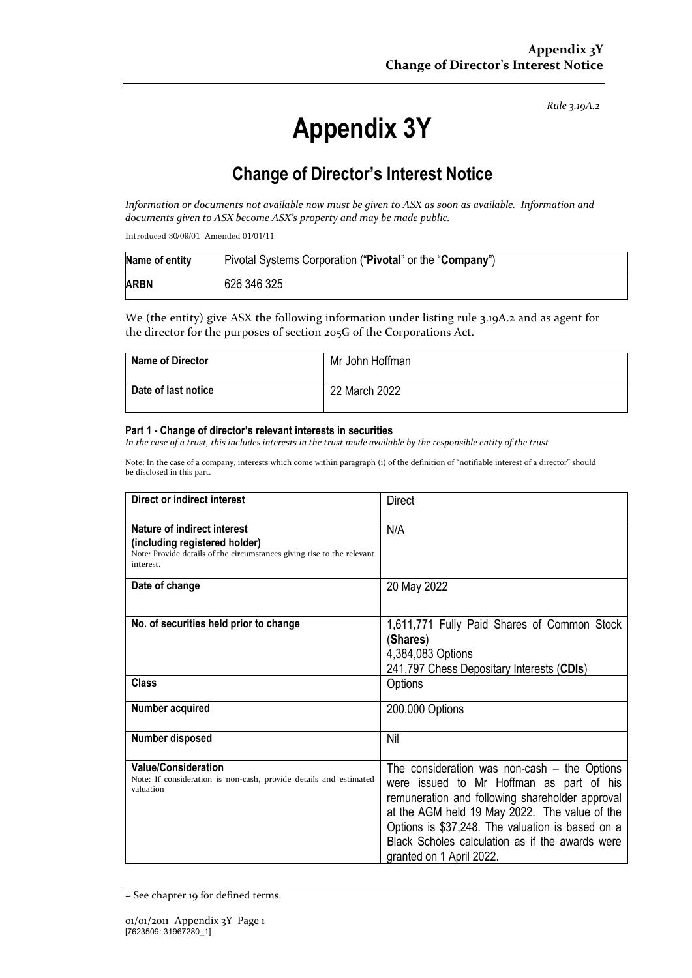*Rule 3.19A.2*

# **Appendix 3Y**

# **Change of Director's Interest Notice**

*Information or documents not available now must be given to ASX as soon as available. Information and documents given to ASX become ASX's property and may be made public.*

Introduced 30/09/01 Amended 01/01/11

| Name of entity | Pivotal Systems Corporation ("Pivotal" or the "Company") |
|----------------|----------------------------------------------------------|
| <b>ARBN</b>    | 626 346 325                                              |

We (the entity) give ASX the following information under listing rule 3.19A.2 and as agent for the director for the purposes of section 205G of the Corporations Act.

| <b>Name of Director</b> | Mr John Hoffman |
|-------------------------|-----------------|
| Date of last notice     | 22 March 2022   |

#### **Part 1 - Change of director's relevant interests in securities**

*In the case of a trust, this includes interests in the trust made available by the responsible entity of the trust*

Note: In the case of a company, interests which come within paragraph (i) of the definition of "notifiable interest of a director" should be disclosed in this part.

| Direct or indirect interest                                                                                                                         | Direct                                                                                                                                                                                                                                                                                                                            |  |
|-----------------------------------------------------------------------------------------------------------------------------------------------------|-----------------------------------------------------------------------------------------------------------------------------------------------------------------------------------------------------------------------------------------------------------------------------------------------------------------------------------|--|
| Nature of indirect interest<br>(including registered holder)<br>Note: Provide details of the circumstances giving rise to the relevant<br>interest. | N/A                                                                                                                                                                                                                                                                                                                               |  |
| Date of change                                                                                                                                      | 20 May 2022                                                                                                                                                                                                                                                                                                                       |  |
| No. of securities held prior to change                                                                                                              | 1,611,771 Fully Paid Shares of Common Stock<br>(Shares)<br>4,384,083 Options<br>241,797 Chess Depositary Interests (CDIs)                                                                                                                                                                                                         |  |
| Class                                                                                                                                               | Options                                                                                                                                                                                                                                                                                                                           |  |
| Number acquired                                                                                                                                     | 200,000 Options                                                                                                                                                                                                                                                                                                                   |  |
| Number disposed                                                                                                                                     | Nil                                                                                                                                                                                                                                                                                                                               |  |
| <b>Value/Consideration</b><br>Note: If consideration is non-cash, provide details and estimated<br>valuation                                        | The consideration was non-cash $-$ the Options<br>were issued to Mr Hoffman as part of his<br>remuneration and following shareholder approval<br>at the AGM held 19 May 2022. The value of the<br>Options is \$37,248. The valuation is based on a<br>Black Scholes calculation as if the awards were<br>granted on 1 April 2022. |  |

+ See chapter 19 for defined terms.